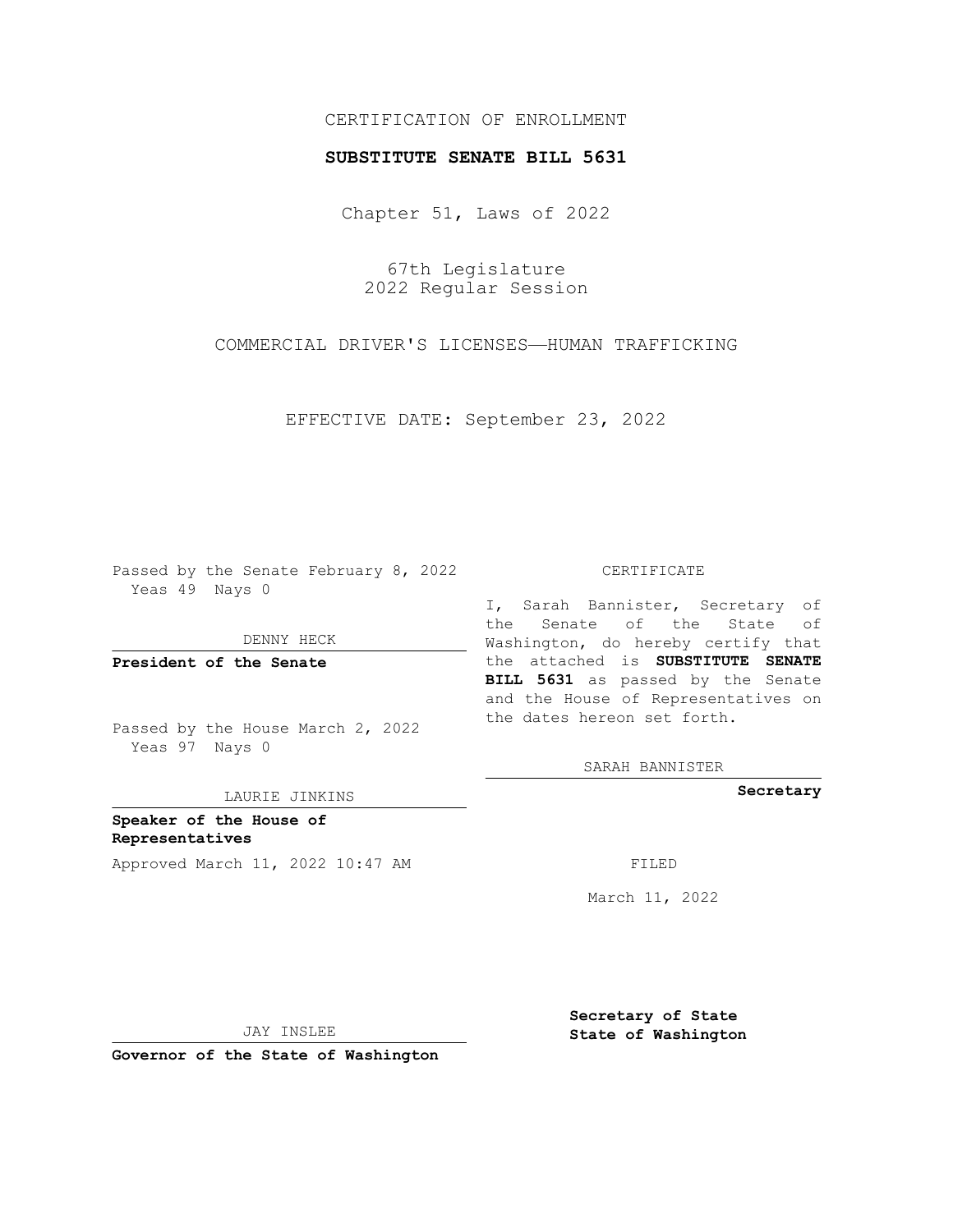# CERTIFICATION OF ENROLLMENT

## **SUBSTITUTE SENATE BILL 5631**

Chapter 51, Laws of 2022

67th Legislature 2022 Regular Session

COMMERCIAL DRIVER'S LICENSES—HUMAN TRAFFICKING

EFFECTIVE DATE: September 23, 2022

Passed by the Senate February 8, 2022 Yeas 49 Nays 0

DENNY HECK

**President of the Senate**

Passed by the House March 2, 2022 Yeas 97 Nays 0

LAURIE JINKINS

**Speaker of the House of Representatives** Approved March 11, 2022 10:47 AM FILED

#### CERTIFICATE

I, Sarah Bannister, Secretary of the Senate of the State of Washington, do hereby certify that the attached is **SUBSTITUTE SENATE BILL 5631** as passed by the Senate and the House of Representatives on the dates hereon set forth.

SARAH BANNISTER

**Secretary**

March 11, 2022

JAY INSLEE

**Secretary of State State of Washington**

**Governor of the State of Washington**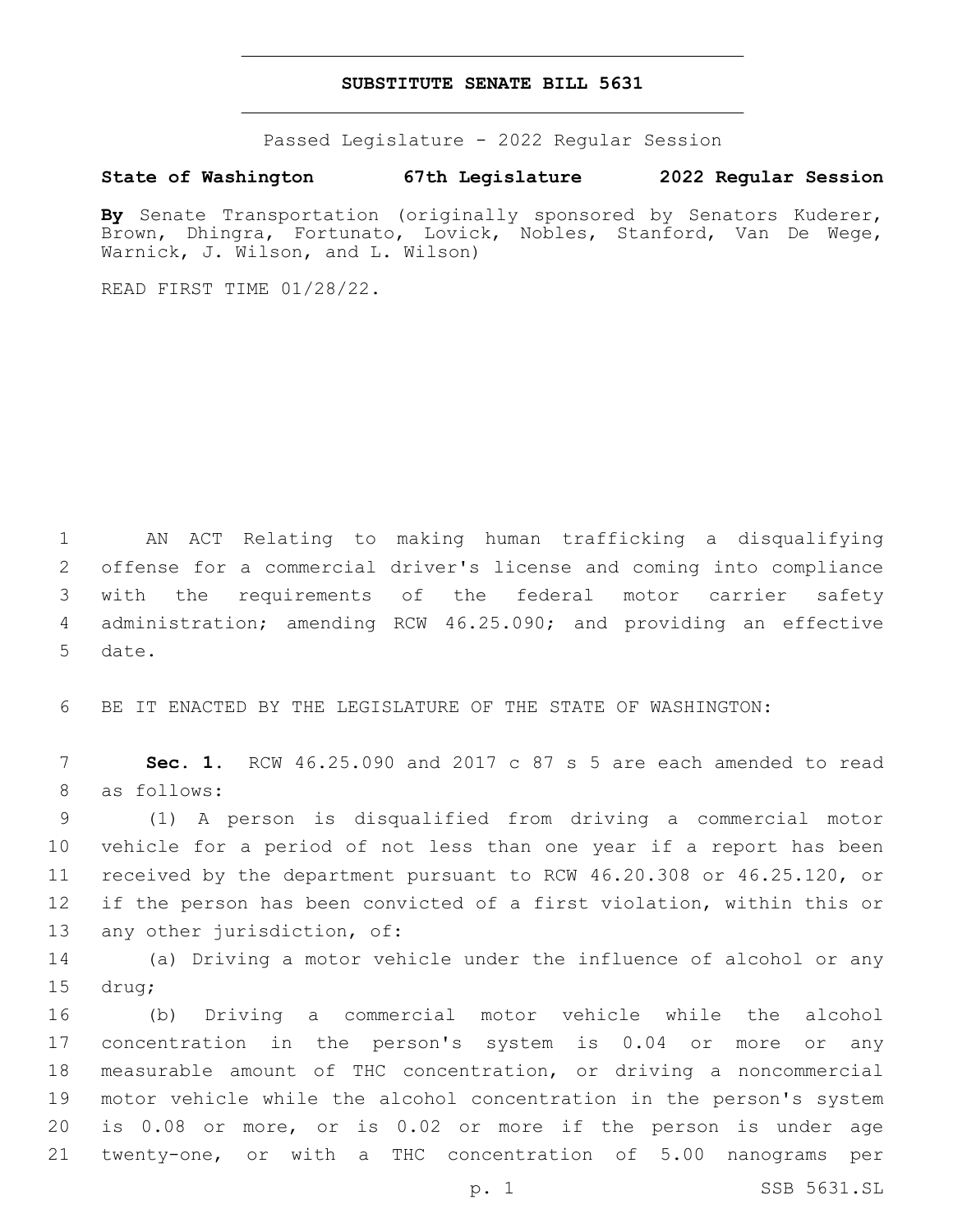### **SUBSTITUTE SENATE BILL 5631**

Passed Legislature - 2022 Regular Session

## **State of Washington 67th Legislature 2022 Regular Session**

**By** Senate Transportation (originally sponsored by Senators Kuderer, Brown, Dhingra, Fortunato, Lovick, Nobles, Stanford, Van De Wege, Warnick, J. Wilson, and L. Wilson)

READ FIRST TIME 01/28/22.

 AN ACT Relating to making human trafficking a disqualifying offense for a commercial driver's license and coming into compliance with the requirements of the federal motor carrier safety administration; amending RCW 46.25.090; and providing an effective 5 date.

6 BE IT ENACTED BY THE LEGISLATURE OF THE STATE OF WASHINGTON:

7 **Sec. 1.** RCW 46.25.090 and 2017 c 87 s 5 are each amended to read 8 as follows:

 (1) A person is disqualified from driving a commercial motor vehicle for a period of not less than one year if a report has been received by the department pursuant to RCW 46.20.308 or 46.25.120, or if the person has been convicted of a first violation, within this or 13 any other jurisdiction, of:

14 (a) Driving a motor vehicle under the influence of alcohol or any 15 drug;

 (b) Driving a commercial motor vehicle while the alcohol concentration in the person's system is 0.04 or more or any measurable amount of THC concentration, or driving a noncommercial motor vehicle while the alcohol concentration in the person's system is 0.08 or more, or is 0.02 or more if the person is under age twenty-one, or with a THC concentration of 5.00 nanograms per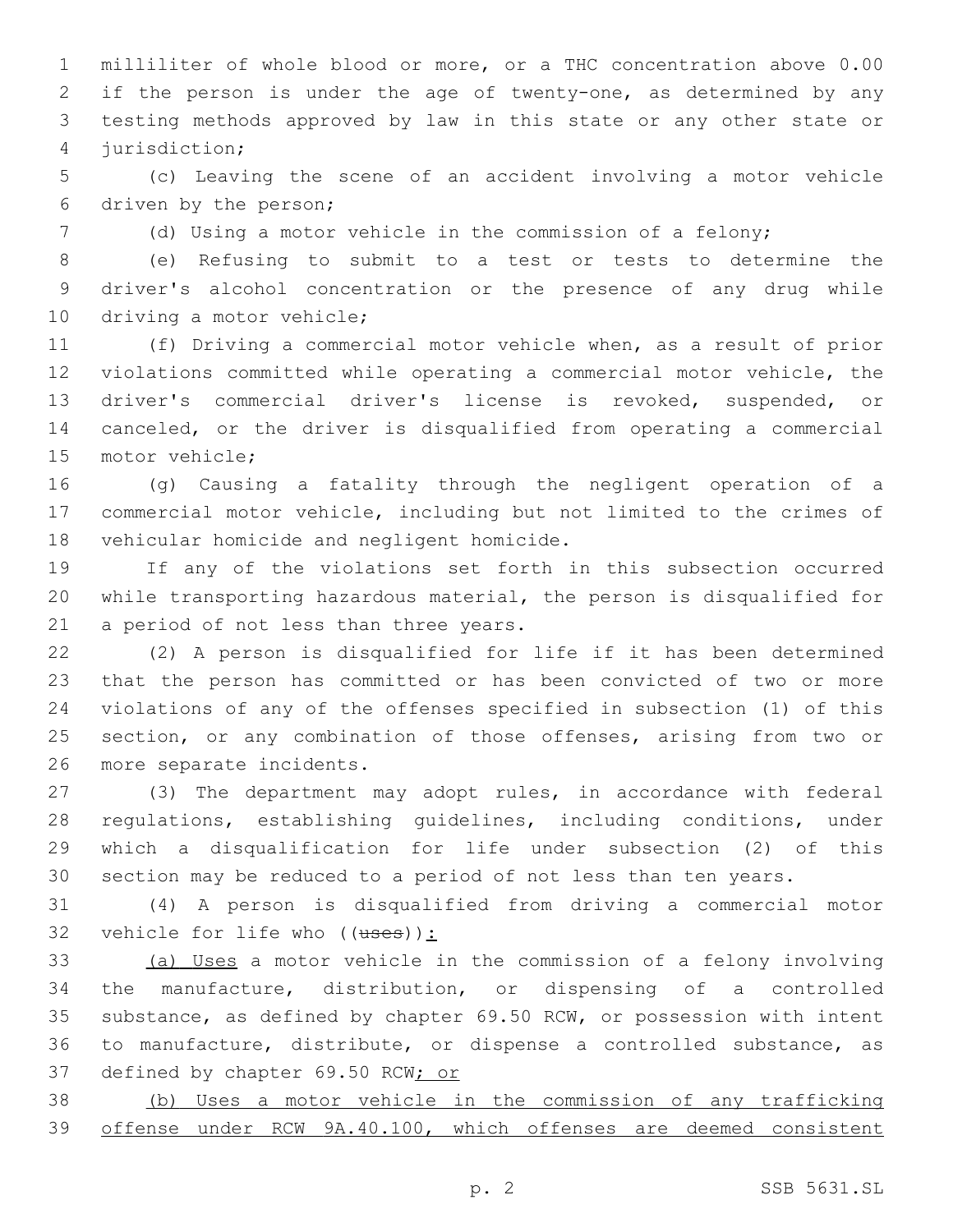milliliter of whole blood or more, or a THC concentration above 0.00 if the person is under the age of twenty-one, as determined by any testing methods approved by law in this state or any other state or 4 jurisdiction;

 (c) Leaving the scene of an accident involving a motor vehicle 6 driven by the person;

(d) Using a motor vehicle in the commission of a felony;

 (e) Refusing to submit to a test or tests to determine the driver's alcohol concentration or the presence of any drug while 10 driving a motor vehicle;

 (f) Driving a commercial motor vehicle when, as a result of prior violations committed while operating a commercial motor vehicle, the driver's commercial driver's license is revoked, suspended, or canceled, or the driver is disqualified from operating a commercial 15 motor vehicle;

 (g) Causing a fatality through the negligent operation of a commercial motor vehicle, including but not limited to the crimes of 18 vehicular homicide and negligent homicide.

 If any of the violations set forth in this subsection occurred while transporting hazardous material, the person is disqualified for 21 a period of not less than three years.

 (2) A person is disqualified for life if it has been determined that the person has committed or has been convicted of two or more violations of any of the offenses specified in subsection (1) of this section, or any combination of those offenses, arising from two or 26 more separate incidents.

 (3) The department may adopt rules, in accordance with federal regulations, establishing guidelines, including conditions, under which a disqualification for life under subsection (2) of this section may be reduced to a period of not less than ten years.

 (4) A person is disqualified from driving a commercial motor 32 vehicle for life who  $((\text{uses}))$ :

 (a) Uses a motor vehicle in the commission of a felony involving the manufacture, distribution, or dispensing of a controlled substance, as defined by chapter 69.50 RCW, or possession with intent to manufacture, distribute, or dispense a controlled substance, as 37 defined by chapter 69.50 RCW; or

 (b) Uses a motor vehicle in the commission of any trafficking offense under RCW 9A.40.100, which offenses are deemed consistent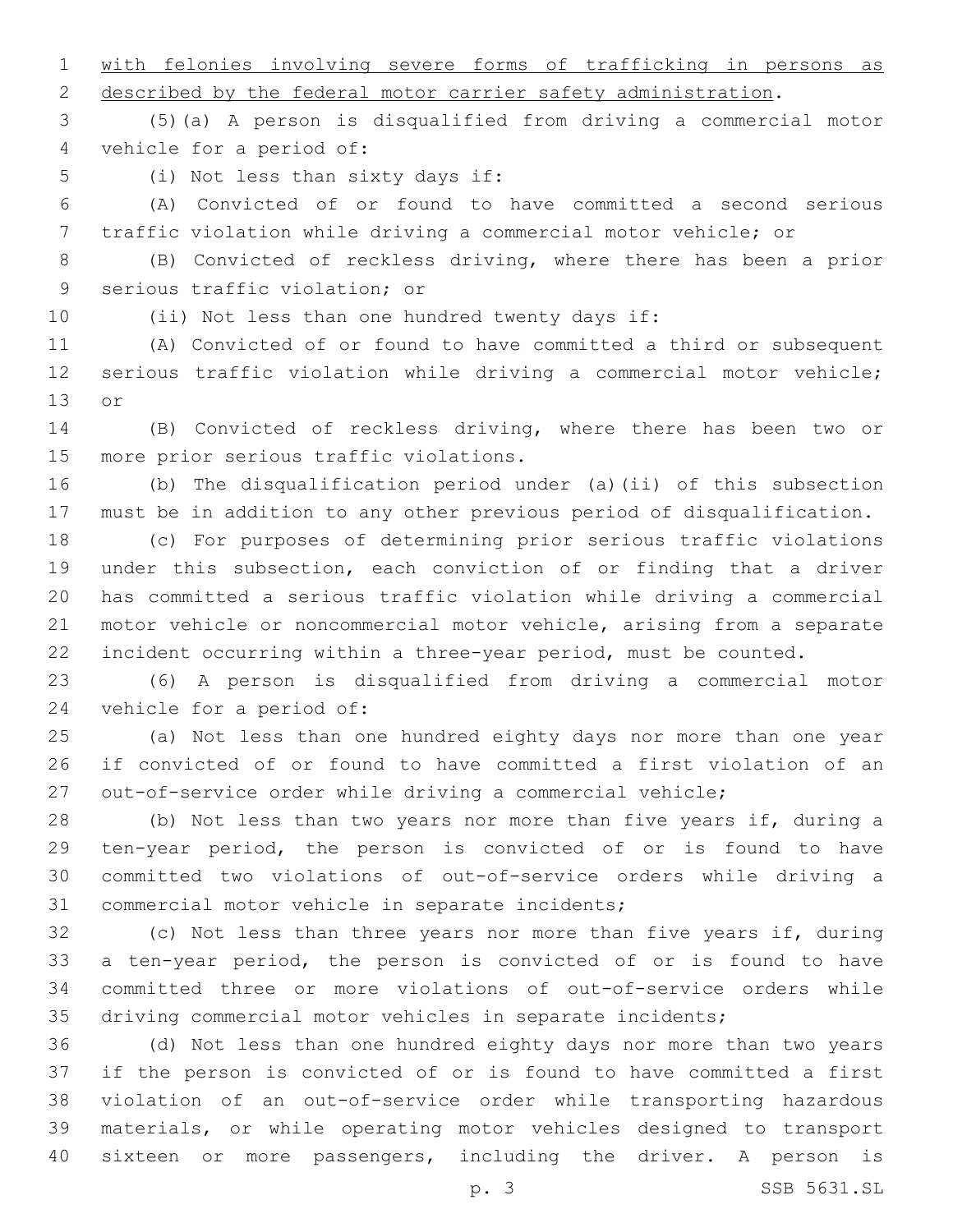with felonies involving severe forms of trafficking in persons as

2 described by the federal motor carrier safety administration.

 (5)(a) A person is disqualified from driving a commercial motor 4 vehicle for a period of:

5 (i) Not less than sixty days if:

 (A) Convicted of or found to have committed a second serious traffic violation while driving a commercial motor vehicle; or

 (B) Convicted of reckless driving, where there has been a prior 9 serious traffic violation; or

(ii) Not less than one hundred twenty days if:

 (A) Convicted of or found to have committed a third or subsequent serious traffic violation while driving a commercial motor vehicle; 13 or

 (B) Convicted of reckless driving, where there has been two or 15 more prior serious traffic violations.

 (b) The disqualification period under (a)(ii) of this subsection must be in addition to any other previous period of disqualification.

 (c) For purposes of determining prior serious traffic violations under this subsection, each conviction of or finding that a driver has committed a serious traffic violation while driving a commercial motor vehicle or noncommercial motor vehicle, arising from a separate incident occurring within a three-year period, must be counted.

 (6) A person is disqualified from driving a commercial motor 24 vehicle for a period of:

 (a) Not less than one hundred eighty days nor more than one year if convicted of or found to have committed a first violation of an out-of-service order while driving a commercial vehicle;

 (b) Not less than two years nor more than five years if, during a ten-year period, the person is convicted of or is found to have committed two violations of out-of-service orders while driving a 31 commercial motor vehicle in separate incidents;

 (c) Not less than three years nor more than five years if, during a ten-year period, the person is convicted of or is found to have committed three or more violations of out-of-service orders while driving commercial motor vehicles in separate incidents;

 (d) Not less than one hundred eighty days nor more than two years if the person is convicted of or is found to have committed a first violation of an out-of-service order while transporting hazardous materials, or while operating motor vehicles designed to transport sixteen or more passengers, including the driver. A person is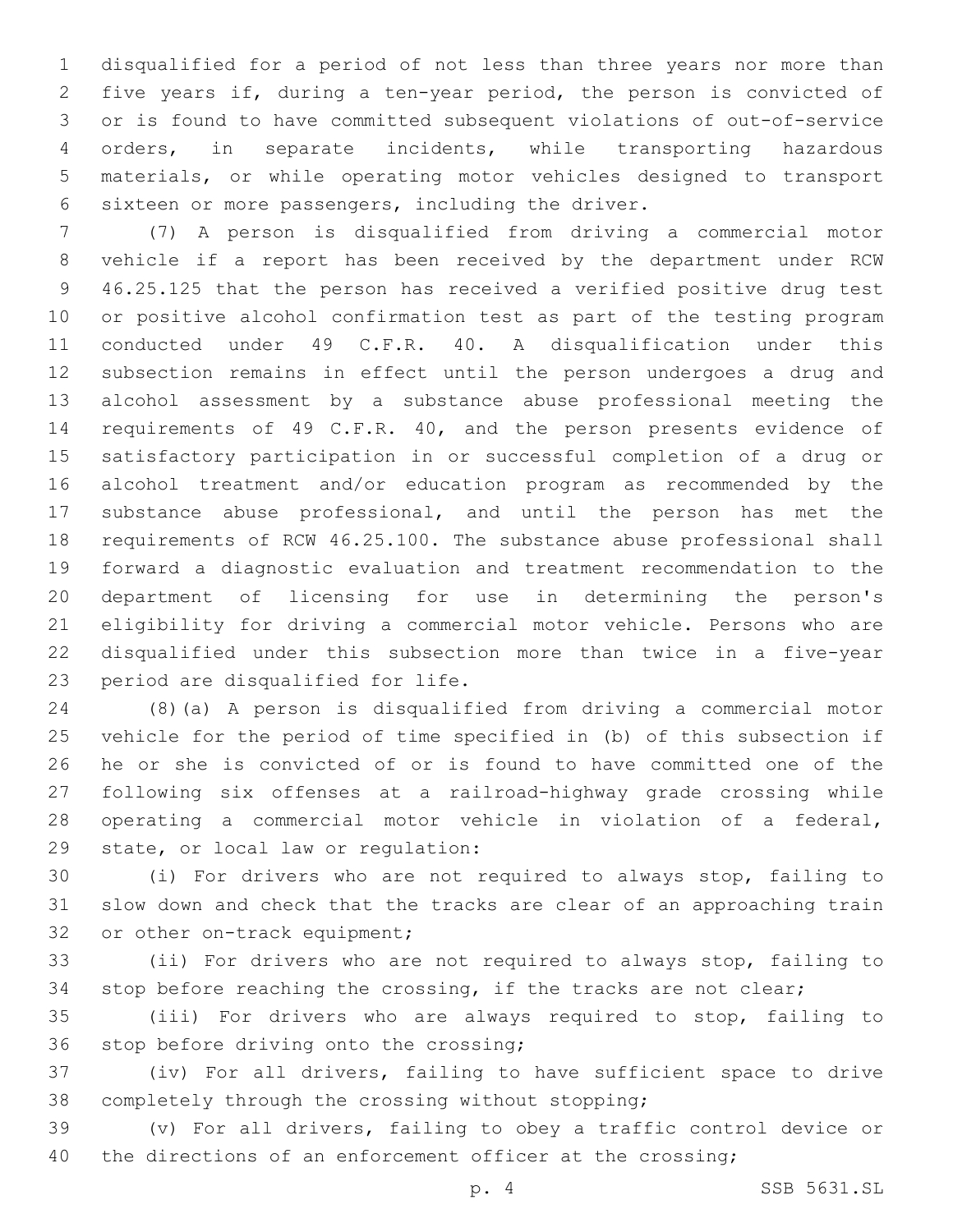disqualified for a period of not less than three years nor more than five years if, during a ten-year period, the person is convicted of or is found to have committed subsequent violations of out-of-service orders, in separate incidents, while transporting hazardous materials, or while operating motor vehicles designed to transport 6 sixteen or more passengers, including the driver.

 (7) A person is disqualified from driving a commercial motor vehicle if a report has been received by the department under RCW 46.25.125 that the person has received a verified positive drug test or positive alcohol confirmation test as part of the testing program conducted under 49 C.F.R. 40. A disqualification under this subsection remains in effect until the person undergoes a drug and alcohol assessment by a substance abuse professional meeting the 14 requirements of 49 C.F.R. 40, and the person presents evidence of satisfactory participation in or successful completion of a drug or alcohol treatment and/or education program as recommended by the substance abuse professional, and until the person has met the requirements of RCW 46.25.100. The substance abuse professional shall forward a diagnostic evaluation and treatment recommendation to the department of licensing for use in determining the person's eligibility for driving a commercial motor vehicle. Persons who are disqualified under this subsection more than twice in a five-year 23 period are disqualified for life.

 (8)(a) A person is disqualified from driving a commercial motor vehicle for the period of time specified in (b) of this subsection if he or she is convicted of or is found to have committed one of the following six offenses at a railroad-highway grade crossing while operating a commercial motor vehicle in violation of a federal, 29 state, or local law or regulation:

 (i) For drivers who are not required to always stop, failing to slow down and check that the tracks are clear of an approaching train 32 or other on-track equipment;

 (ii) For drivers who are not required to always stop, failing to stop before reaching the crossing, if the tracks are not clear;

 (iii) For drivers who are always required to stop, failing to 36 stop before driving onto the crossing;

 (iv) For all drivers, failing to have sufficient space to drive 38 completely through the crossing without stopping;

 (v) For all drivers, failing to obey a traffic control device or 40 the directions of an enforcement officer at the crossing;